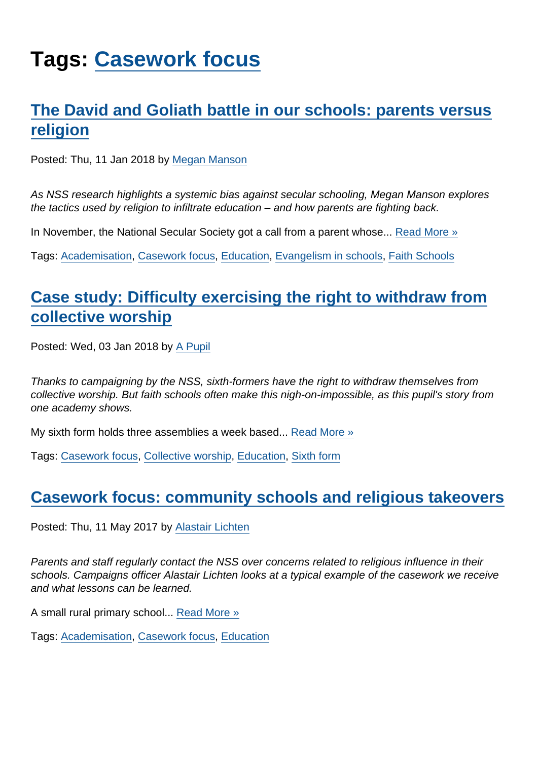# Tags: [Casework focus](https://www.secularism.org.uk/opinion/tags/Casework+focus)

## [The David and Goliath battle in our schools: parents versus](https://www.secularism.org.uk/opinion/2018/01/the-david-and-goliath-battle-in-our-schools-parents-versus-religion) [religion](https://www.secularism.org.uk/opinion/2018/01/the-david-and-goliath-battle-in-our-schools-parents-versus-religion)

Posted: Thu, 11 Jan 2018 by [Megan Manson](https://www.secularism.org.uk/opinion/authors/971)

As NSS research highlights a systemic bias against secular schooling, Megan Manson explores the tactics used by religion to infiltrate education – and how parents are fighting back.

In November, the National Secular Society got a call from a parent whose... [Read More »](https://www.secularism.org.uk/opinion/2018/01/the-david-and-goliath-battle-in-our-schools-parents-versus-religion)

Tags: [Academisation](https://www.secularism.org.uk/opinion/tags/Academisation), [Casework focus](https://www.secularism.org.uk/opinion/tags/Casework+focus), [Education](https://www.secularism.org.uk/opinion/tags/Education), [Evangelism in schools](https://www.secularism.org.uk/opinion/tags/Evangelism+in+schools), [Faith Schools](https://www.secularism.org.uk/opinion/tags/Faith+Schools)

## [Case study: Difficulty exercising the right to withdraw from](https://www.secularism.org.uk/opinion/2018/01/case-study-difficulty-exercising-the-right-to-withdraw-from-collective-worship) [collective worship](https://www.secularism.org.uk/opinion/2018/01/case-study-difficulty-exercising-the-right-to-withdraw-from-collective-worship)

Posted: Wed, 03 Jan 2018 by [A Pupil](https://www.secularism.org.uk/opinion/authors/883)

Thanks to campaigning by the NSS, sixth-formers have the right to withdraw themselves from collective worship. But faith schools often make this nigh-on-impossible, as this pupil's story from one academy shows.

My sixth form holds three assemblies a week based... [Read More »](https://www.secularism.org.uk/opinion/2018/01/case-study-difficulty-exercising-the-right-to-withdraw-from-collective-worship)

Tags: [Casework focus,](https://www.secularism.org.uk/opinion/tags/Casework+focus) [Collective worship](https://www.secularism.org.uk/opinion/tags/Collective+worship), [Education](https://www.secularism.org.uk/opinion/tags/Education), [Sixth form](https://www.secularism.org.uk/opinion/tags/Sixth+form)

#### [Casework focus: community schools and religious takeovers](https://www.secularism.org.uk/opinion/2017/05/casework-focus-community-schools-and-religious-takeovers)

Posted: Thu, 11 May 2017 by [Alastair Lichten](https://www.secularism.org.uk/opinion/authors/847)

Parents and staff regularly contact the NSS over concerns related to religious influence in their schools. Campaigns officer Alastair Lichten looks at a typical example of the casework we receive and what lessons can be learned.

A small rural primary school... [Read More »](https://www.secularism.org.uk/opinion/2017/05/casework-focus-community-schools-and-religious-takeovers)

Tags: [Academisation](https://www.secularism.org.uk/opinion/tags/Academisation), [Casework focus](https://www.secularism.org.uk/opinion/tags/Casework+focus), [Education](https://www.secularism.org.uk/opinion/tags/Education)